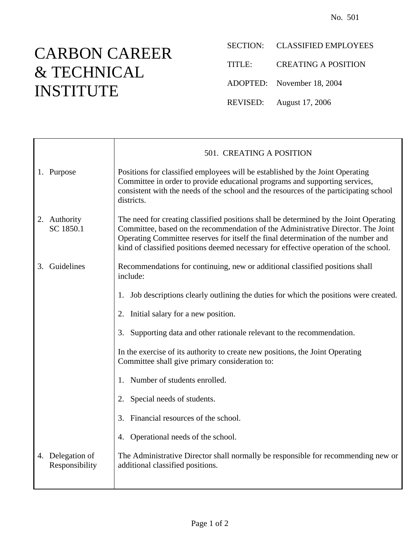## CARBON CAREER & TECHNICAL INSTITUTE

- SECTION: CLASSIFIED EMPLOYEES
- TITLE: CREATING A POSITION
- ADOPTED: November 18, 2004
- REVISED: August 17, 2006

|    |                                    | 501. CREATING A POSITION                                                                                                                                                                                                                                                                                                                               |
|----|------------------------------------|--------------------------------------------------------------------------------------------------------------------------------------------------------------------------------------------------------------------------------------------------------------------------------------------------------------------------------------------------------|
|    | 1. Purpose                         | Positions for classified employees will be established by the Joint Operating<br>Committee in order to provide educational programs and supporting services,<br>consistent with the needs of the school and the resources of the participating school<br>districts.                                                                                    |
|    | 2. Authority<br>SC 1850.1          | The need for creating classified positions shall be determined by the Joint Operating<br>Committee, based on the recommendation of the Administrative Director. The Joint<br>Operating Committee reserves for itself the final determination of the number and<br>kind of classified positions deemed necessary for effective operation of the school. |
| 3. | Guidelines                         | Recommendations for continuing, new or additional classified positions shall<br>include:                                                                                                                                                                                                                                                               |
|    |                                    | Job descriptions clearly outlining the duties for which the positions were created.<br>1.                                                                                                                                                                                                                                                              |
|    |                                    | Initial salary for a new position.<br>2.                                                                                                                                                                                                                                                                                                               |
|    |                                    | Supporting data and other rationale relevant to the recommendation.<br>3.                                                                                                                                                                                                                                                                              |
|    |                                    | In the exercise of its authority to create new positions, the Joint Operating<br>Committee shall give primary consideration to:                                                                                                                                                                                                                        |
|    |                                    | Number of students enrolled.<br>1.                                                                                                                                                                                                                                                                                                                     |
|    |                                    | Special needs of students.<br>2.                                                                                                                                                                                                                                                                                                                       |
|    |                                    | Financial resources of the school.                                                                                                                                                                                                                                                                                                                     |
|    |                                    | 4. Operational needs of the school.                                                                                                                                                                                                                                                                                                                    |
|    | 4. Delegation of<br>Responsibility | The Administrative Director shall normally be responsible for recommending new or<br>additional classified positions.                                                                                                                                                                                                                                  |
|    |                                    |                                                                                                                                                                                                                                                                                                                                                        |